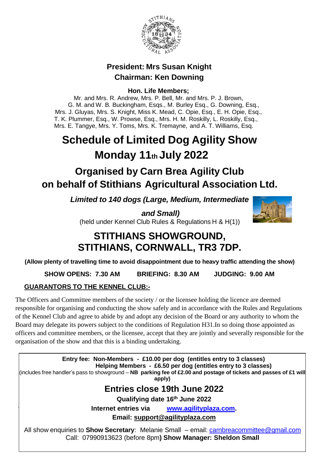

## **President: Mrs Susan Knight Chairman: Ken Downing**

**Hon. Life Members;**

Mr. and Mrs. R. Andrew, Mrs. P. Bell, Mr. and Mrs. P. J. Brown, G. M. and W. B. Buckingham, Esqs., M. Burley Esq., G. Downing, Esq., Mrs. J. Gluyas, Mrs. S. Knight, Miss K. Mead, C. Opie, Esq., E. H. Opie, Esq., T. K. Plummer, Esq., W. Prowse, Esq., Mrs. H. M. Roskilly, L. Roskilly, Esq., Mrs. E. Tangye, Mrs. Y. Toms, Mrs. K. Tremayne, and A. T. Williams, Esq.

# **Schedule of Limited Dog Agility Show Monday 11th July 2022**

# **Organised by Carn Brea Agility Club on behalf of Stithians Agricultural Association Ltd.**

*Limited to 140 dogs (Large, Medium, Intermediate*

*and Small)* (held under Kennel Club Rules & Regulations H & H(1))

# **STITHIANS SHOWGROUND, STITHIANS, CORNWALL, TR3 7DP.**

**(Allow plenty of travelling time to avoid disappointment due to heavy traffic attending the show)**

**SHOW OPENS: 7.30 AM BRIEFING: 8.30 AM JUDGING: 9.00 AM**

## **GUARANTORS TO THE KENNEL CLUB:-**

The Officers and Committee members of the society / or the licensee holding the licence are deemed responsible for organising and conducting the show safely and in accordance with the Rules and Regulations of the Kennel Club and agree to abide by and adopt any decision of the Board or any authority to whom the Board may delegate its powers subject to the conditions of Regulation H31.In so doing those appointed as officers and committee members, or the licensee, accept that they are jointly and severally responsible for the organisation of the show and that this is a binding undertaking.

**Entry fee: Non-Members - £10.00 per dog (entitles entry to 3 classes) Helping Members - £6.50 per dog (entitles entry to 3 classes)** (includes free handler's pass to showground – **NB parking fee of £2.00 and postage of tickets and passes of £1 will apply) Entries close 19th June 2022 Qualifying date 16th June 2022 Internet entries via [www.agilityplaza.com.](http://www.agilityplaza.com/) Email: support@agilityplaza.com** All show enquiries to **Show Secretary**: Melanie Small – email: [carnbreacommittee@gmail.com](mailto:carnbreacommittee@gmail.com) Call: 07990913623 (before 8pm**) Show Manager: Sheldon Small**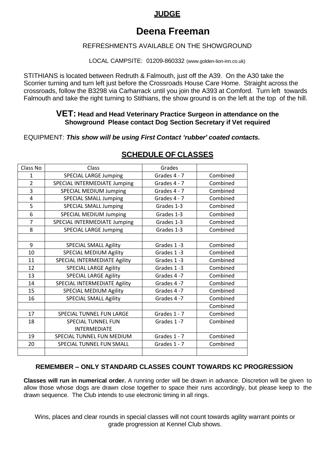## **JUDGE**

## **Deena Freeman**

## REFRESHMENTS AVAILABLE ON THE SHOWGROUND

LOCAL CAMPSITE: 01209-860332 (www.golden-lion-inn.co.uk)

STITHIANS is located between Redruth & Falmouth, just off the A39. On the A30 take the Scorrier turning and turn left just before the Crossroads House Care Home. Straight across the crossroads, follow the B3298 via Carharrack until you join the A393 at Comford. Turn left towards Falmouth and take the right turning to Stithians, the show ground is on the left at the top of the hill.

## **VET: Head and Head Veterinary Practice Surgeon in attendance on the Showground Please contact Dog Section Secretary if Vet required**

EQUIPMENT: *This show will be using First Contact 'rubber' coated contacts.*

| Class No       | Class                         | Grades         |          |
|----------------|-------------------------------|----------------|----------|
| $\mathbf{1}$   | <b>SPECIAL LARGE Jumping</b>  | Grades 4 - 7   | Combined |
| $\overline{2}$ | SPECIAL INTERMEDIATE Jumping  | Grades 4 - 7   | Combined |
| 3              | <b>SPECIAL MEDIUM Jumping</b> | Grades 4 - 7   | Combined |
| 4              | <b>SPECIAL SMALL Jumping</b>  | Grades 4 - 7   | Combined |
| 5              | <b>SPECIAL SMALL Jumping</b>  | Grades 1-3     | Combined |
| 6              | <b>SPECIAL MEDIUM Jumping</b> | Grades 1-3     | Combined |
| $\overline{7}$ | SPECIAL INTERMEDIATE Jumping  | Grades 1-3     | Combined |
| 8              | <b>SPECIAL LARGE Jumping</b>  | Grades 1-3     | Combined |
|                |                               |                |          |
| 9              | <b>SPECIAL SMALL Agility</b>  | Grades 1-3     | Combined |
| 10             | SPECIAL MEDIUM Agility        | Grades 1-3     | Combined |
| 11             | SPECIAL INTERMEDIATE Agility  | Grades 1-3     | Combined |
| 12             | <b>SPECIAL LARGE Agility</b>  | Grades 1-3     | Combined |
| 13             | <b>SPECIAL LARGE Agility</b>  | Grades 4-7     | Combined |
| 14             | SPECIAL INTERMEDIATE Agility  | Grades 4-7     | Combined |
| 15             | SPECIAL MEDIUM Agility        | Grades 4-7     | Combined |
| 16             | <b>SPECIAL SMALL Agility</b>  | Grades 4-7     | Combined |
|                |                               |                | Combined |
| 17             | SPECIAL TUNNEL FUN LARGE      | Grades $1 - 7$ | Combined |
| 18             | <b>SPECIAL TUNNEL FUN</b>     | Grades 1-7     | Combined |
|                | <b>INTERMEDIATE</b>           |                |          |
| 19             | SPECIAL TUNNEL FUN MEDIUM     | Grades 1 - 7   | Combined |
| 20             | SPECIAL TUNNEL FUN SMALL      | Grades $1 - 7$ | Combined |
|                |                               |                |          |

## **SCHEDULE OF CLASSES**

## **REMEMBER – ONLY STANDARD CLASSES COUNT TOWARDS KC PROGRESSION**

**Classes will run in numerical order.** A running order will be drawn in advance. Discretion will be given to allow those whose dogs are drawn close together to space their runs accordingly, but please keep to the drawn sequence. The Club intends to use electronic timing in all rings.

Wins, places and clear rounds in special classes will not count towards agility warrant points or grade progression at Kennel Club shows.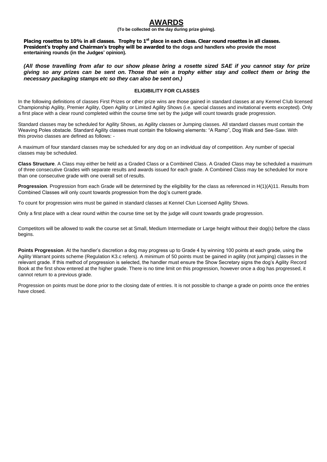## **AWARDS**

**(To be collected on the day during prize giving).**

Placing rosettes to 10% in all classes. Trophy to 1<sup>st</sup> place in each class. Clear round rosettes in all classes. **President's trophy and Chairman's trophy will be awarded to the dogs and handlers who provide the most entertaining rounds (in the Judges' opinion).**

(All those travelling from afar to our show please bring a rosette sized SAE if you cannot stay for prize giving so any prizes can be sent on. Those that win a trophy either stay and collect them or bring the *necessary packaging stamps etc so they can also be sent on.)*

#### **ELIGIBILITY FOR CLASSES**

In the following definitions of classes First Prizes or other prize wins are those gained in standard classes at any Kennel Club licensed Championship Agility, Premier Agility, Open Agility or Limited Agility Shows (i.e. special classes and invitational events excepted). Only a first place with a clear round completed within the course time set by the judge will count towards grade progression.

Standard classes may be scheduled for Agility Shows, as Agility classes or Jumping classes. All standard classes must contain the Weaving Poles obstacle. Standard Agility classes must contain the following elements: "A Ramp", Dog Walk and See-Saw. With this proviso classes are defined as follows: -

A maximum of four standard classes may be scheduled for any dog on an individual day of competition. Any number of special classes may be scheduled.

**Class Structure**. A Class may either be held as a Graded Class or a Combined Class. A Graded Class may be scheduled a maximum of three consecutive Grades with separate results and awards issued for each grade. A Combined Class may be scheduled for more than one consecutive grade with one overall set of results.

**Progression**. Progression from each Grade will be determined by the eligibility for the class as referenced in H(1)(A)11. Results from Combined Classes will only count towards progression from the dog's current grade.

To count for progression wins must be gained in standard classes at Kennel Clun Licensed Agility Shows.

Only a first place with a clear round within the course time set by the judge will count towards grade progression.

Competitors will be allowed to walk the course set at Small, Medium Intermediate or Large height without their dog(s) before the class begins.

**Points Progression**. At the handler's discretion a dog may progress up to Grade 4 by winning 100 points at each grade, using the Agility Warrant points scheme (Regulation K3.c refers). A minimum of 50 points must be gained in agility (not jumping) classes in the relevant grade. If this method of progression is selected, the handler must ensure the Show Secretary signs the dog's Agility Record Book at the first show entered at the higher grade. There is no time limit on this progression, however once a dog has progressed, it cannot return to a previous grade.

Progression on points must be done prior to the closing date of entries. It is not possible to change a grade on points once the entries have closed.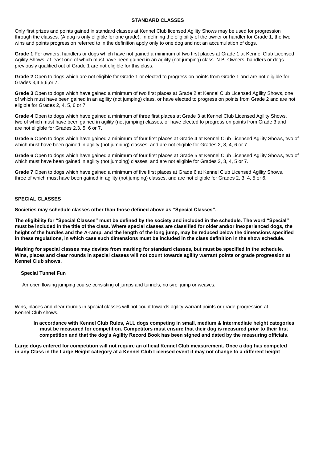#### **STANDARD CLASSES**

Only first prizes and points gained in standard classes at Kennel Club licensed Agility Shows may be used for progression through the classes. (A dog is only eligible for one grade). In defining the eligibility of the owner or handler for Grade 1, the two wins and points progression referred to in the definition apply only to one dog and not an accumulation of dogs.

**Grade 1** For owners, handlers or dogs which have not gained a minimum of two first places at Grade 1 at Kennel Club Licensed Agility Shows, at least one of which must have been gained in an agility (not jumping) class. N.B. Owners, handlers or dogs previously qualified out of Grade 1 are not eligible for this class.

**Grade 2** Open to dogs which are not eligible for Grade 1 or elected to progress on points from Grade 1 and are not eligible for Grades 3,4,5,6,or 7.

**Grade 3** Open to dogs which have gained a minimum of two first places at Grade 2 at Kennel Club Licensed Agility Shows, one of which must have been gained in an agility (not jumping) class, or have elected to progress on points from Grade 2 and are not eligible for Grades 2, 4, 5, 6 or 7.

**Grade 4** Open to dogs which have gained a minimum of three first places at Grade 3 at Kennel Club Licensed Agility Shows, two of which must have been gained in agility (not jumping) classes, or have elected to progress on points from Grade 3 and are not eligible for Grades 2,3, 5, 6 or 7.

**Grade 5** Open to dogs which have gained a minimum of four first places at Grade 4 at Kennel Club Licensed Agility Shows, two of which must have been gained in agility (not jumping) classes, and are not eligible for Grades 2, 3, 4, 6 or 7.

**Grade 6** Open to dogs which have gained a minimum of four first places at Grade 5 at Kennel Club Licensed Agility Shows, two of which must have been gained in agility (not jumping) classes, and are not eligible for Grades 2, 3, 4, 5 or 7.

**Grade 7** Open to dogs which have gained a minimum of five first places at Grade 6 at Kennel Club Licensed Agility Shows, three of which must have been gained in agility (not jumping) classes, and are not eligible for Grades 2, 3, 4, 5 or 6.

#### **SPECIAL CLASSES**

**Societies may schedule classes other than those defined above as "Special Classes".**

**The eligibility for "Special Classes" must be defined by the society and included in the schedule. The word "Special" must be included in the title of the class. Where special classes are classified for older and/or inexperienced dogs, the height of the hurdles and the A-ramp, and the length of the long jump, may be reduced below the dimensions specified in these regulations, in which case such dimensions must be included in the class definition in the show schedule.**

**Marking for special classes may deviate from marking for standard classes, but must be specified in the schedule. Wins, places and clear rounds in special classes will not count towards agility warrant points or grade progression at Kennel Club shows.**

#### **Special Tunnel Fun**

An open flowing jumping course consisting of jumps and tunnels, no tyre jump or weaves.

Wins, places and clear rounds in special classes will not count towards agility warrant points or grade progression at Kennel Club shows.

#### **In accordance with Kennel Club Rules, ALL dogs competing in small, medium & Intermediate height categories must be measured for competition. Competitors must ensure that their dog is measured prior to their first competition and that the dog's Agility Record Book has been signed and dated by the measuring officials.**

**Large dogs entered for competition will not require an official Kennel Club measurement. Once a dog has competed in any Class in the Large Height category at a Kennel Club Licensed event it may not change to a different height**.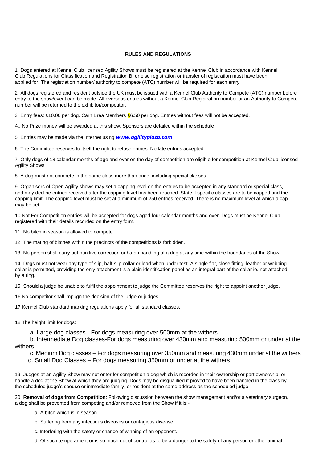#### **RULES AND REGULATIONS**

1. Dogs entered at Kennel Club licensed Agility Shows must be registered at the Kennel Club in accordance with Kennel Club Regulations for Classification and Registration B, or else registration or transfer of registration must have been applied for. The registration number/ authority to compete (ATC) number will be required for each entry.

2. All dogs registered and resident outside the UK must be issued with a Kennel Club Authority to Compete (ATC) number before entry to the show/event can be made. All overseas entries without a Kennel Club Registration number or an Authority to Compete number will be returned to the exhibitor/competitor.

3. Entry fees: £10.00 per dog. Carn Brea Members  $E$ 6.50 per dog. Entries without fees will not be accepted.

4.. No Prize money will be awarded at this show. Sponsors are detailed within the schedule

5. Entries may be made via the Internet using *[www.agilityplaza.com](http://www.agilityplaza.com/)*

6. The Committee reserves to itself the right to refuse entries. No late entries accepted.

7. Only dogs of 18 calendar months of age and over on the day of competition are eligible for competition at Kennel Club licensed Agility Shows.

8. A dog must not compete in the same class more than once, including special classes.

9. Organisers of Open Agility shows may set a capping level on the entries to be accepted in any standard or special class, and may decline entries received after the capping level has been reached. State if specific classes are to be capped and the capping limit. The capping level must be set at a minimum of 250 entries received. There is no maximum level at which a cap may be set.

10.Not For Competition entries will be accepted for dogs aged four calendar months and over. Dogs must be Kennel Club registered with their details recorded on the entry form.

11. No bitch in season is allowed to compete.

12. The mating of bitches within the precincts of the competitions is forbidden.

13. No person shall carry out punitive correction or harsh handling of a dog at any time within the boundaries of the Show.

14. Dogs must not wear any type of slip, half-slip collar or lead when under test. A single flat, close fitting, leather or webbing collar is permitted, providing the only attachment is a plain identification panel as an integral part of the collar ie. not attached by a ring.

15. Should a judge be unable to fulfil the appointment to judge the Committee reserves the right to appoint another judge.

16 No competitor shall impugn the decision of the judge or judges.

17 Kennel Club standard marking regulations apply for all standard classes.

18 The height limit for dogs:

a. Large dog classes - For dogs measuring over 500mm at the withers.

 b. Intermediate Dog classes-For dogs measuring over 430mm and measuring 500mm or under at the withers.

c. Medium Dog classes – For dogs measuring over 350mm and measuring 430mm under at the withers

d. Small Dog Classes – For dogs measuring 350mm or under at the withers

19. Judges at an Agility Show may not enter for competition a dog which is recorded in their ownership or part ownership; or handle a dog at the Show at which they are judging. Dogs may be disqualified if proved to have been handled in the class by the scheduled judge's spouse or immediate family, or resident at the same address as the scheduled judge.

20. **Removal of dogs from Competition**: Following discussion between the show management and/or a veterinary surgeon, a dog shall be prevented from competing and/or removed from the Show if it is:-

a. A bitch which is in season.

b. Suffering from any infectious diseases or contagious disease.

c. Interfering with the safety or chance of winning of an opponent.

d. Of such temperament or is so much out of control as to be a danger to the safety of any person or other animal.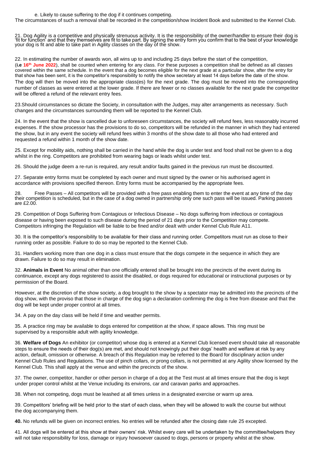#### e. Likely to cause suffering to the dog if it continues competing.

The circumstances of such a removal shall be recorded in the competition/show Incident Book and submitted to the Kennel Club.

21. Dog Agility is a competitive and physically strenuous activity. It is the responsibility of the owner/handler to ensure their dog is 'fit for function' and that they themselves are fit to take part. By signing the entry form you confirm that to the best of your knowledge your dog is fit and able to take part in Agility classes on the day of the show.

22. In estimating the number of awards won, all wins up to and including 25 days before the start of the competition, (**i.e 16th June 2022**), shall be counted when entering for any class. For these purposes a competition shall be defined as all classes covered within the same schedule. In the event that a dog becomes eligible for the next grade at a particular show, after the entry for that show has been sent, it is the competitor's responsibility to notify the show secretary at least 14 days before the date of the show. The dog will then be moved into the appropriate class(es) for the next grade. The dog must be moved into the corresponding number of classes as were entered at the lower grade. If there are fewer or no classes available for the next grade the competitor will be offered a refund of the relevant entry fees.

23.Should circumstances so dictate the Society, in consultation with the Judges, may alter arrangements as necessary. Such changes and the circumstances surrounding them will be reported to the Kennel Club.

24. In the event that the show is cancelled due to unforeseen circumstances, the society will refund fees, less reasonably incurred expenses. If the show processor has the provisions to do so, competitors will be refunded in the manner in which they had entered the show, but in any event the society will refund fees within 3 months of the show date to all those who had entered and requested a refund within 1 month of the show date.

25. Except for mobility aids, nothing shall be carried in the hand while the dog is under test and food shall not be given to a dog whilst in the ring. Competitors are prohibited from wearing bags or leads whilst under test.

26. Should the judge deem a re-run is required, any result and/or faults gained in the previous run must be discounted.

27. Separate entry forms must be completed by each owner and must signed by the owner or his authorised agent in accordance with provisions specified thereon. Entry forms must be accompanied by the appropriate fees.

28. Free Passes – All competitors will be provided with a free pass enabling them to enter the event at any time of the day their competition is scheduled, but in the case of a dog owned in partnership only one such pass will be issued. Parking passes are £2.00.

29. Competition of Dogs Suffering from Contagious or Infectious Disease – No dogs suffering from infectious or contagious disease or having been exposed to such disease during the period of 21 days prior to the Competition may compete. Competitors infringing the Regulation will be liable to be fined and/or dealt with under Kennel Club Rule A11.

30. It is the competitor's responsibility to be available for their class and running order. Competitors must run as close to their running order as possible. Failure to do so may be reported to the Kennel Club.

31. Handlers working more than one dog in a class must ensure that the dogs compete in the sequence in which they are drawn. Failure to do so may result in elimination.

32. **Animals in Event** No animal other than one officially entered shall be brought into the precincts of the event during its continuance, except any dogs registered to assist the disabled, or dogs required for educational or instructional purposes or by permission of the Board.

However, at the discretion of the show society, a dog brought to the show by a spectator may be admitted into the precincts of the dog show, with the proviso that those in charge of the dog sign a declaration confirming the dog is free from disease and that the dog will be kept under proper control at all times.

34. A pay on the day class will be held if time and weather permits.

35. A practice ring may be available to dogs entered for competition at the show, if space allows. This ring must be supervised by a responsible adult with agility knowledge.

36. **Welfare of Dogs** An exhibitor (or competitor) whose dog is entered at a Kennel Club licensed event should take all reasonable steps to ensure the needs of their dog(s) are met, and should not knowingly put their dogs' health and welfare at risk by any action, default, omission or otherwise. A breach of this Regulation may be referred to the Board for disciplinary action under Kennel Club Rules and Regulations. The use of pinch collars, or prong collars, is not permitted at any Agility show licensed by the Kennel Club. This shall apply at the venue and within the precincts of the show.

37. The owner, competitor, handler or other person in charge of a dog at the Test must at all times ensure that the dog is kept under proper control whilst at the Venue including its environs, car and caravan parks and approaches.

38. When not competing, dogs must be leashed at all times unless in a designated exercise or warm up area.

39. Competitors' briefing will be held prior to the start of each class, when they will be allowed to walk the course but without the dog accompanying them.

**40.** No refunds will be given on incorrect entries. No entries will be refunded after the closing date rule 25 excepted.

41. All dogs will be entered at this show at their owners' risk. Whilst every care will be undertaken by the committee/helpers they will not take responsibility for loss, damage or injury howsoever caused to dogs, persons or property whilst at the show.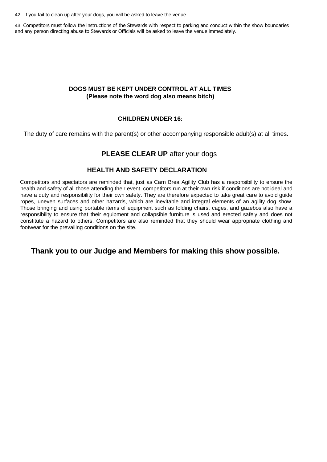42. If you fail to clean up after your dogs, you will be asked to leave the venue.

43. Competitors must follow the instructions of the Stewards with respect to parking and conduct within the show boundaries and any person directing abuse to Stewards or Officials will be asked to leave the venue immediately.

### **DOGS MUST BE KEPT UNDER CONTROL AT ALL TIMES (Please note the word dog also means bitch)**

### **CHILDREN UNDER 16:**

The duty of care remains with the parent(s) or other accompanying responsible adult(s) at all times.

## **PLEASE CLEAR UP** after your dogs

### **HEALTH AND SAFETY DECLARATION**

Competitors and spectators are reminded that, just as Carn Brea Agility Club has a responsibility to ensure the health and safety of all those attending their event, competitors run at their own risk if conditions are not ideal and have a duty and responsibility for their own safety. They are therefore expected to take great care to avoid guide ropes, uneven surfaces and other hazards, which are inevitable and integral elements of an agility dog show. Those bringing and using portable items of equipment such as folding chairs, cages, and gazebos also have a responsibility to ensure that their equipment and collapsible furniture is used and erected safely and does not constitute a hazard to others. Competitors are also reminded that they should wear appropriate clothing and footwear for the prevailing conditions on the site.

## **Thank you to our Judge and Members for making this show possible.**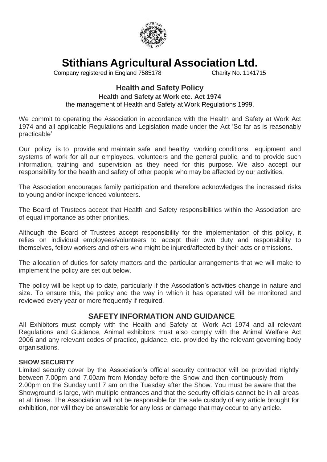

**Stithians Agricultural Association Ltd.**

Company registered in England 7585178

## **Health and Safety Policy**

## **Health and Safety at Work etc. Act 1974**

the management of Health and Safety at Work Regulations 1999.

We commit to operating the Association in accordance with the Health and Safety at Work Act 1974 and all applicable Regulations and Legislation made under the Act 'So far as is reasonably practicable'

Our policy is to provide and maintain safe and healthy working conditions, equipment and systems of work for all our employees, volunteers and the general public, and to provide such information, training and supervision as they need for this purpose. We also accept our responsibility for the health and safety of other people who may be affected by our activities.

The Association encourages family participation and therefore acknowledges the increased risks to young and/or inexperienced volunteers.

The Board of Trustees accept that Health and Safety responsibilities within the Association are of equal importance as other priorities.

Although the Board of Trustees accept responsibility for the implementation of this policy, it relies on individual employees/volunteers to accept their own duty and responsibility to themselves, fellow workers and others who might be injured/affected by their acts or omissions.

The allocation of duties for safety matters and the particular arrangements that we will make to implement the policy are set out below.

The policy will be kept up to date, particularly if the Association's activities change in nature and size. To ensure this, the policy and the way in which it has operated will be monitored and reviewed every year or more frequently if required.

## **SAFETY INFORMATION AND GUIDANCE**

All Exhibitors must comply with the Health and Safety at Work Act 1974 and all relevant Regulations and Guidance, Animal exhibitors must also comply with the Animal Welfare Act 2006 and any relevant codes of practice, guidance, etc. provided by the relevant governing body organisations.

## **SHOW SECURITY**

Limited security cover by the Association's official security contractor will be provided nightly between 7.00pm and 7.00am from Monday before the Show and then continuously from 2.00pm on the Sunday until 7 am on the Tuesday after the Show. You must be aware that the Showground is large, with multiple entrances and that the security officials cannot be in all areas at all times. The Association will not be responsible for the safe custody of any article brought for exhibition, nor will they be answerable for any loss or damage that may occur to any article.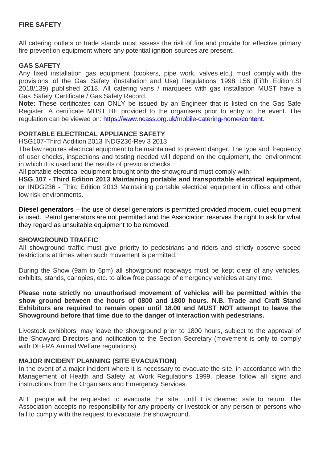## **FIRE SAFETY**

All catering outlets or trade stands must assess the risk of fire and provide for effective primary fire prevention equipment where any potential ignition sources are present.

## **GAS SAFETY**

Any fixed installation gas equipment (cookers, pipe work, valves etc.) must comply with the provisions of the Gas Safety (Installation and Use) Regulations 1998 L56 (Fifth Edition Sl 2018/139) published 2018. All catering vans / marquees with gas installation MUST have a Gas Safety Certificate / Gas Safety Record.

**Note:** These certificates can ONLY be issued by an Engineer that is listed on the Gas Safe Register. A certificate MUST BE provided to the organisers prior to entry to the event. The regulation can be viewed on: [https://www.ncass.org.uk/mobile-catering-home/content.](https://www.ncass.org.uk/mobile-catering-home/content)

## **PORTABLE ELECTRICAL APPLIANCE SAFETY**

HSG107-Third Addition 2013 INDG236-Rev 3 2013

The law requires electrical equipment to be maintained to prevent danger. The type and frequency of user checks, inspections and testing needed will depend on the equipment, the environment in which it is used and the results of previous checks.

All portable electrical equipment brought onto the showground must comply with:

**HSG 107 - Third Edition 2013 Maintaining portable and transportable electrical equipment, or** INDG236 - Third Edition 2013 Maintaining portable electrical equipment in offices and other low risk environments.

**Diesel generators** – the use of diesel generators is permitted provided modern, quiet equipment is used. Petrol generators are not permitted and the Association reserves the right to ask for what they regard as unsuitable equipment to be removed.

## **SHOWGROUND TRAFFIC**

All showground traffic must give priority to pedestrians and riders and strictly observe speed restrictions at times when such movement is permitted.

During the Show (9am to 6pm) all showground roadways must be kept clear of any vehicles, exhibits, stands, canopies, etc. to allow free passage of emergency vehicles at any time.

**Please note strictly no unauthorised movement of vehicles will be permitted within the show ground between the hours of 0800 and 1800 hours. N.B. Trade and Craft Stand Exhibitors are required to remain open until 18.00 and MUST NOT attempt to leave the Showground before that time due to the danger of interaction with pedestrians.**

Livestock exhibitors: may leave the showground prior to 1800 hours, subject to the approval of the Showyard Directors and notification to the Section Secretary (movement is only to comply with DEFRA Animal Welfare regulations).

## **MAJOR INCIDENT PLANNING (SITE EVACUATION)**

In the event of a major incident where it is necessary to evacuate the site, in accordance with the Management of Health and Safety at Work Regulations 1999, please follow all signs and instructions from the Organisers and Emergency Services.

ALL people will be requested to evacuate the site, until it is deemed safe to return. The Association accepts no responsibility for any property or livestock or any person or persons who fail to comply with the request to evacuate the showground.